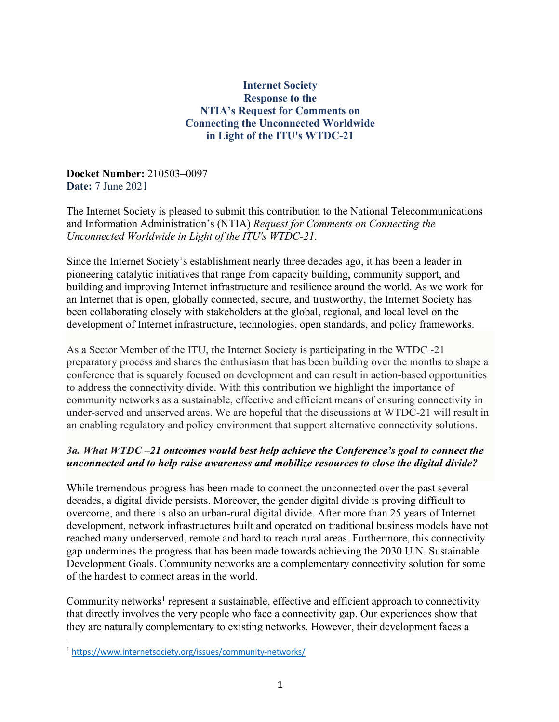### **Internet Society Response to the NTIA's Request for Comments on Connecting the Unconnected Worldwide in Light of the ITU's WTDC-21**

**Docket Number:** 210503–0097 **Date:** 7 June 2021

The Internet Society is pleased to submit this contribution to the National Telecommunications and Information Administration's (NTIA) *Request for Comments on Connecting the Unconnected Worldwide in Light of the ITU's WTDC-21*.

Since the Internet Society's establishment nearly three decades ago, it has been a leader in pioneering catalytic initiatives that range from capacity building, community support, and building and improving Internet infrastructure and resilience around the world. As we work for an Internet that is open, globally connected, secure, and trustworthy, the Internet Society has been collaborating closely with stakeholders at the global, regional, and local level on the development of Internet infrastructure, technologies, open standards, and policy frameworks.

As a Sector Member of the ITU, the Internet Society is participating in the WTDC -21 preparatory process and shares the enthusiasm that has been building over the months to shape a conference that is squarely focused on development and can result in action-based opportunities to address the connectivity divide. With this contribution we highlight the importance of community networks as a sustainable, effective and efficient means of ensuring connectivity in under-served and unserved areas. We are hopeful that the discussions at WTDC-21 will result in an enabling regulatory and policy environment that support alternative connectivity solutions.

## *3a. What WTDC –21 outcomes would best help achieve the Conference's goal to connect the unconnected and to help raise awareness and mobilize resources to close the digital divide?*

While tremendous progress has been made to connect the unconnected over the past several decades, a digital divide persists. Moreover, the gender digital divide is proving difficult to overcome, and there is also an urban-rural digital divide. After more than 25 years of Internet development, network infrastructures built and operated on traditional business models have not reached many underserved, remote and hard to reach rural areas. Furthermore, this connectivity gap undermines the progress that has been made towards achieving the 2030 U.N. Sustainable Development Goals. Community networks are a complementary connectivity solution for some of the hardest to connect areas in the world.

Community networks<sup>1</sup> represent a sustainable, effective and efficient approach to connectivity that directly involves the very people who face a connectivity gap. Our experiences show that they are naturally complementary to existing networks. However, their development faces a

<sup>1</sup> https://www.internetsociety.org/issues/community-networks/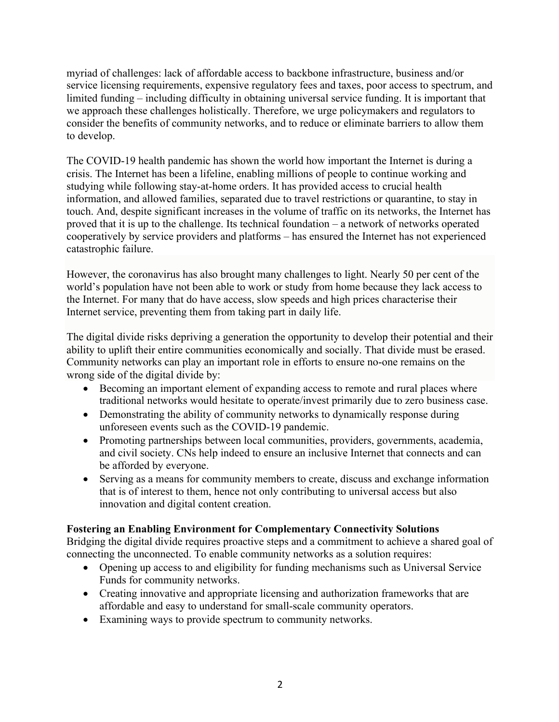myriad of challenges: lack of affordable access to backbone infrastructure, business and/or service licensing requirements, expensive regulatory fees and taxes, poor access to spectrum, and limited funding – including difficulty in obtaining universal service funding. It is important that we approach these challenges holistically. Therefore, we urge policymakers and regulators to consider the benefits of community networks, and to reduce or eliminate barriers to allow them to develop.

The COVID-19 health pandemic has shown the world how important the Internet is during a crisis. The Internet has been a lifeline, enabling millions of people to continue working and studying while following stay-at-home orders. It has provided access to crucial health information, and allowed families, separated due to travel restrictions or quarantine, to stay in touch. And, despite significant increases in the volume of traffic on its networks, the Internet has proved that it is up to the challenge. Its technical foundation – a network of networks operated cooperatively by service providers and platforms – has ensured the Internet has not experienced catastrophic failure.

However, the coronavirus has also brought many challenges to light. Nearly 50 per cent of the world's population have not been able to work or study from home because they lack access to the Internet. For many that do have access, slow speeds and high prices characterise their Internet service, preventing them from taking part in daily life.

The digital divide risks depriving a generation the opportunity to develop their potential and their ability to uplift their entire communities economically and socially. That divide must be erased. Community networks can play an important role in efforts to ensure no-one remains on the wrong side of the digital divide by:

- Becoming an important element of expanding access to remote and rural places where traditional networks would hesitate to operate/invest primarily due to zero business case.
- Demonstrating the ability of community networks to dynamically response during unforeseen events such as the COVID-19 pandemic.
- Promoting partnerships between local communities, providers, governments, academia, and civil society. CNs help indeed to ensure an inclusive Internet that connects and can be afforded by everyone.
- Serving as a means for community members to create, discuss and exchange information that is of interest to them, hence not only contributing to universal access but also innovation and digital content creation.

# **Fostering an Enabling Environment for Complementary Connectivity Solutions**

Bridging the digital divide requires proactive steps and a commitment to achieve a shared goal of connecting the unconnected. To enable community networks as a solution requires:

- Opening up access to and eligibility for funding mechanisms such as Universal Service Funds for community networks.
- Creating innovative and appropriate licensing and authorization frameworks that are affordable and easy to understand for small-scale community operators.
- Examining ways to provide spectrum to community networks.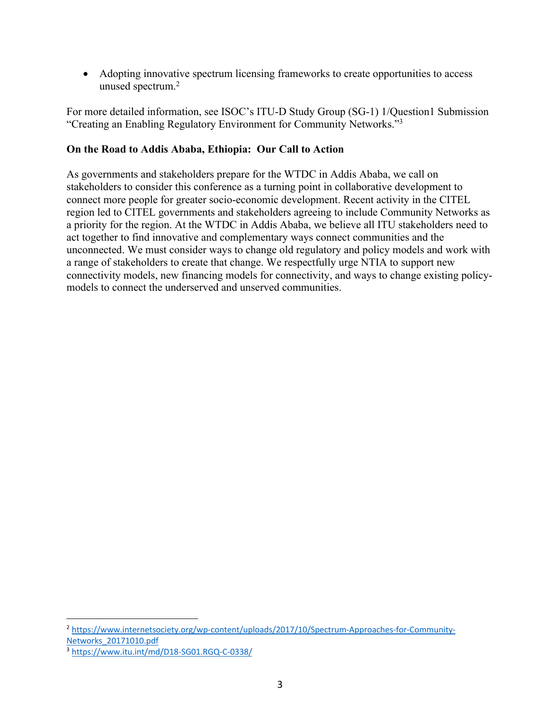• Adopting innovative spectrum licensing frameworks to create opportunities to access unused spectrum.2

For more detailed information, see ISOC's ITU-D Study Group (SG-1) 1/Question1 Submission "Creating an Enabling Regulatory Environment for Community Networks."3

#### **On the Road to Addis Ababa, Ethiopia: Our Call to Action**

As governments and stakeholders prepare for the WTDC in Addis Ababa, we call on stakeholders to consider this conference as a turning point in collaborative development to connect more people for greater socio-economic development. Recent activity in the CITEL region led to CITEL governments and stakeholders agreeing to include Community Networks as a priority for the region. At the WTDC in Addis Ababa, we believe all ITU stakeholders need to act together to find innovative and complementary ways connect communities and the unconnected. We must consider ways to change old regulatory and policy models and work with a range of stakeholders to create that change. We respectfully urge NTIA to support new connectivity models, new financing models for connectivity, and ways to change existing policymodels to connect the underserved and unserved communities.

<sup>2</sup> https://www.internetsociety.org/wp-content/uploads/2017/10/Spectrum-Approaches-for-Community-Networks\_20171010.pdf

<sup>3</sup> https://www.itu.int/md/D18-SG01.RGQ-C-0338/